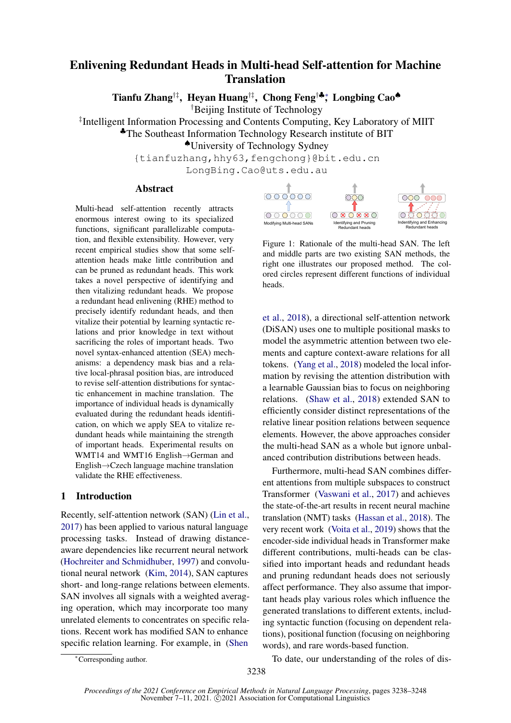# Enlivening Redundant Heads in Multi-head Self-attention for Machine Translation

Tianfu Zhang†‡, Heyan Huang†‡, Chong Feng†♣∗ , Longbing Cao♠

†Beijing Institute of Technology

‡ Intelligent Information Processing and Contents Computing, Key Laboratory of MIIT

♣The Southeast Information Technology Research institute of BIT

♠University of Technology Sydney

{tianfuzhang,hhy63,fengchong}@bit.edu.cn

LongBing.Cao@uts.edu.au

## Abstract

Multi-head self-attention recently attracts enormous interest owing to its specialized functions, significant parallelizable computation, and flexible extensibility. However, very recent empirical studies show that some selfattention heads make little contribution and can be pruned as redundant heads. This work takes a novel perspective of identifying and then vitalizing redundant heads. We propose a redundant head enlivening (RHE) method to precisely identify redundant heads, and then vitalize their potential by learning syntactic relations and prior knowledge in text without sacrificing the roles of important heads. Two novel syntax-enhanced attention (SEA) mechanisms: a dependency mask bias and a relative local-phrasal position bias, are introduced to revise self-attention distributions for syntactic enhancement in machine translation. The importance of individual heads is dynamically evaluated during the redundant heads identification, on which we apply SEA to vitalize redundant heads while maintaining the strength of important heads. Experimental results on WMT14 and WMT16 English→German and English→Czech language machine translation validate the RHE effectiveness.

### 1 Introduction

Recently, self-attention network (SAN) [\(Lin et al.,](#page-8-0) [2017\)](#page-8-0) has been applied to various natural language processing tasks. Instead of drawing distanceaware dependencies like recurrent neural network [\(Hochreiter and Schmidhuber,](#page-8-1) [1997\)](#page-8-1) and convolutional neural network [\(Kim,](#page-8-2) [2014\)](#page-8-2), SAN captures short- and long-range relations between elements. SAN involves all signals with a weighted averaging operation, which may incorporate too many unrelated elements to concentrates on specific relations. Recent work has modified SAN to enhance specific relation learning. For example, in [\(Shen](#page-8-3)

<span id="page-0-0"></span>

Figure 1: Rationale of the multi-head SAN. The left and middle parts are two existing SAN methods, the right one illustrates our proposed method. The colored circles represent different functions of individual heads.

[et al.,](#page-8-3) [2018\)](#page-8-3), a directional self-attention network (DiSAN) uses one to multiple positional masks to model the asymmetric attention between two elements and capture context-aware relations for all tokens. [\(Yang et al.,](#page-8-4) [2018\)](#page-8-4) modeled the local information by revising the attention distribution with a learnable Gaussian bias to focus on neighboring relations. [\(Shaw et al.,](#page-8-5) [2018\)](#page-8-5) extended SAN to efficiently consider distinct representations of the relative linear position relations between sequence elements. However, the above approaches consider the multi-head SAN as a whole but ignore unbalanced contribution distributions between heads.

Furthermore, multi-head SAN combines different attentions from multiple subspaces to construct Transformer [\(Vaswani et al.,](#page-8-6) [2017\)](#page-8-6) and achieves the state-of-the-art results in recent neural machine translation (NMT) tasks [\(Hassan et al.,](#page-8-7) [2018\)](#page-8-7). The very recent work [\(Voita et al.,](#page-8-8) [2019\)](#page-8-8) shows that the encoder-side individual heads in Transformer make different contributions, multi-heads can be classified into important heads and redundant heads and pruning redundant heads does not seriously affect performance. They also assume that important heads play various roles which influence the generated translations to different extents, including syntactic function (focusing on dependent relations), positional function (focusing on neighboring words), and rare words-based function.

To date, our understanding of the roles of dis-

<sup>∗</sup>[Corresponding author.](#page-8-3)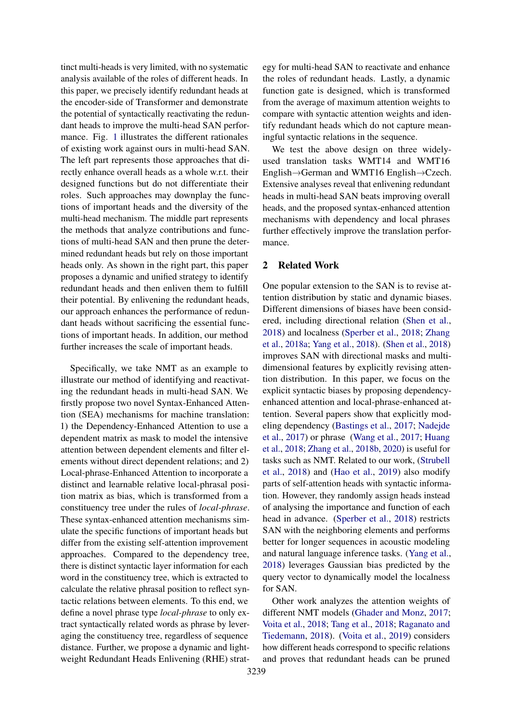tinct multi-heads is very limited, with no systematic analysis available of the roles of different heads. In this paper, we precisely identify redundant heads at the encoder-side of Transformer and demonstrate the potential of syntactically reactivating the redundant heads to improve the multi-head SAN performance. Fig. [1](#page-0-0) illustrates the different rationales of existing work against ours in multi-head SAN. The left part represents those approaches that directly enhance overall heads as a whole w.r.t. their designed functions but do not differentiate their roles. Such approaches may downplay the functions of important heads and the diversity of the multi-head mechanism. The middle part represents the methods that analyze contributions and functions of multi-head SAN and then prune the determined redundant heads but rely on those important heads only. As shown in the right part, this paper proposes a dynamic and unified strategy to identify redundant heads and then enliven them to fulfill their potential. By enlivening the redundant heads, our approach enhances the performance of redundant heads without sacrificing the essential functions of important heads. In addition, our method further increases the scale of important heads.

Specifically, we take NMT as an example to illustrate our method of identifying and reactivating the redundant heads in multi-head SAN. We firstly propose two novel Syntax-Enhanced Attention (SEA) mechanisms for machine translation: 1) the Dependency-Enhanced Attention to use a dependent matrix as mask to model the intensive attention between dependent elements and filter elements without direct dependent relations; and 2) Local-phrase-Enhanced Attention to incorporate a distinct and learnable relative local-phrasal position matrix as bias, which is transformed from a constituency tree under the rules of *local-phrase*. These syntax-enhanced attention mechanisms simulate the specific functions of important heads but differ from the existing self-attention improvement approaches. Compared to the dependency tree, there is distinct syntactic layer information for each word in the constituency tree, which is extracted to calculate the relative phrasal position to reflect syntactic relations between elements. To this end, we define a novel phrase type *local-phrase* to only extract syntactically related words as phrase by leveraging the constituency tree, regardless of sequence distance. Further, we propose a dynamic and lightweight Redundant Heads Enlivening (RHE) strategy for multi-head SAN to reactivate and enhance the roles of redundant heads. Lastly, a dynamic function gate is designed, which is transformed from the average of maximum attention weights to compare with syntactic attention weights and identify redundant heads which do not capture meaningful syntactic relations in the sequence.

We test the above design on three widelyused translation tasks WMT14 and WMT16 English→German and WMT16 English→Czech. Extensive analyses reveal that enlivening redundant heads in multi-head SAN beats improving overall heads, and the proposed syntax-enhanced attention mechanisms with dependency and local phrases further effectively improve the translation performance.

### 2 Related Work

One popular extension to the SAN is to revise attention distribution by static and dynamic biases. Different dimensions of biases have been considered, including directional relation [\(Shen et al.,](#page-8-3) [2018\)](#page-8-3) and localness [\(Sperber et al.,](#page-8-9) [2018;](#page-8-9) [Zhang](#page-9-0) [et al.,](#page-9-0) [2018a;](#page-9-0) [Yang et al.,](#page-8-4) [2018\)](#page-8-4). [\(Shen et al.,](#page-8-3) [2018\)](#page-8-3) improves SAN with directional masks and multidimensional features by explicitly revising attention distribution. In this paper, we focus on the explicit syntactic biases by proposing dependencyenhanced attention and local-phrase-enhanced attention. Several papers show that explicitly modeling dependency [\(Bastings et al.,](#page-8-10) [2017;](#page-8-10) [Nadejde](#page-8-11) [et al.,](#page-8-11) [2017\)](#page-8-11) or phrase [\(Wang et al.,](#page-8-12) [2017;](#page-8-12) [Huang](#page-8-13) [et al.,](#page-8-13) [2018;](#page-8-13) [Zhang et al.,](#page-9-1) [2018b,](#page-9-1) [2020\)](#page-9-2) is useful for tasks such as NMT. Related to our work, [\(Strubell](#page-8-14) [et al.,](#page-8-14) [2018\)](#page-8-14) and [\(Hao et al.,](#page-8-15) [2019\)](#page-8-15) also modify parts of self-attention heads with syntactic information. However, they randomly assign heads instead of analysing the importance and function of each head in advance. [\(Sperber et al.,](#page-8-9) [2018\)](#page-8-9) restricts SAN with the neighboring elements and performs better for longer sequences in acoustic modeling and natural language inference tasks. [\(Yang et al.,](#page-8-4) [2018\)](#page-8-4) leverages Gaussian bias predicted by the query vector to dynamically model the localness for SAN.

Other work analyzes the attention weights of different NMT models [\(Ghader and Monz,](#page-8-16) [2017;](#page-8-16) [Voita et al.,](#page-8-17) [2018;](#page-8-17) [Tang et al.,](#page-8-18) [2018;](#page-8-18) [Raganato and](#page-8-19) [Tiedemann,](#page-8-19) [2018\)](#page-8-19). [\(Voita et al.,](#page-8-8) [2019\)](#page-8-8) considers how different heads correspond to specific relations and proves that redundant heads can be pruned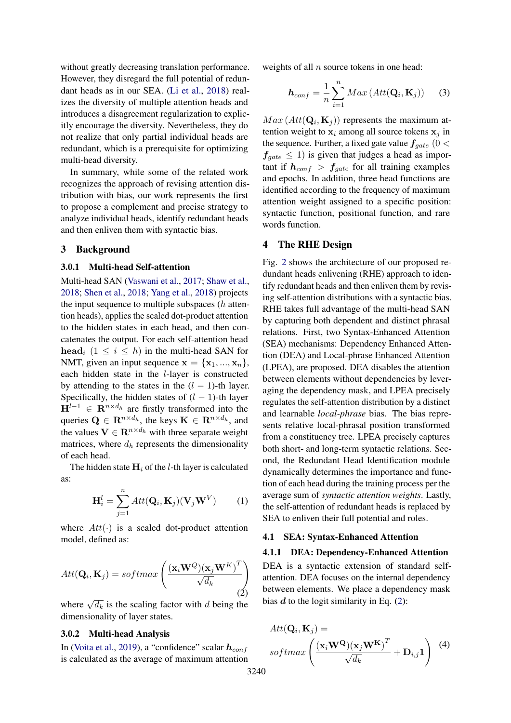without greatly decreasing translation performance. However, they disregard the full potential of redundant heads as in our SEA. [\(Li et al.,](#page-8-20) [2018\)](#page-8-20) realizes the diversity of multiple attention heads and introduces a disagreement regularization to explicitly encourage the diversity. Nevertheless, they do not realize that only partial individual heads are redundant, which is a prerequisite for optimizing multi-head diversity.

In summary, while some of the related work recognizes the approach of revising attention distribution with bias, our work represents the first to propose a complement and precise strategy to analyze individual heads, identify redundant heads and then enliven them with syntactic bias.

#### 3 Background

#### 3.0.1 Multi-head Self-attention

Multi-head SAN [\(Vaswani et al.,](#page-8-6) [2017;](#page-8-6) [Shaw et al.,](#page-8-5) [2018;](#page-8-5) [Shen et al.,](#page-8-3) [2018;](#page-8-3) [Yang et al.,](#page-8-4) [2018\)](#page-8-4) projects the input sequence to multiple subspaces  $(h$  attention heads), applies the scaled dot-product attention to the hidden states in each head, and then concatenates the output. For each self-attention head head<sub>i</sub>  $(1 \leq i \leq h)$  in the multi-head SAN for NMT, given an input sequence  $\mathbf{x} = {\mathbf{x}_1, ..., \mathbf{x}_n}$ , each hidden state in the l-layer is constructed by attending to the states in the  $(l - 1)$ -th layer. Specifically, the hidden states of  $(l - 1)$ -th layer  $H^{l-1} \in \mathbb{R}^{n \times d_h}$  are firstly transformed into the queries  $\mathbf{Q} \in \mathbb{R}^{n \times d_h}$ , the keys  $\mathbf{K} \in \mathbb{R}^{n \times d_h}$ , and the values  $V \in \mathbb{R}^{n \times d_h}$  with three separate weight matrices, where  $d_h$  represents the dimensionality of each head.

The hidden state  $H_i$  of the *l*-th layer is calculated as:

$$
\mathbf{H}_{i}^{l} = \sum_{j=1}^{n} Att(\mathbf{Q}_{i}, \mathbf{K}_{j})(\mathbf{V}_{j}\mathbf{W}^{V})
$$
 (1)

where  $Att(\cdot)$  is a scaled dot-product attention model, defined as:

<span id="page-2-0"></span>
$$
Att(\mathbf{Q}_i, \mathbf{K}_j) = softmax\left(\frac{(\mathbf{x}_i \mathbf{W}^Q)(\mathbf{x}_j \mathbf{W}^K)^T}{\sqrt{d_k}}\right)
$$
\n(2)

where  $\sqrt{d_k}$  is the scaling factor with d being the dimensionality of layer states.

### 3.0.2 Multi-head Analysis

In [\(Voita et al.,](#page-8-8) [2019\)](#page-8-8), a "confidence" scalar  $h_{conf}$ is calculated as the average of maximum attention weights of all  $n$  source tokens in one head:

<span id="page-2-2"></span>
$$
\boldsymbol{h}_{conf} = \frac{1}{n} \sum_{i=1}^{n} Max\left( Att(\mathbf{Q}_i, \mathbf{K}_j)\right) \tag{3}
$$

 $Max\left(Att(\mathbf{Q}_i, \mathbf{K}_j)\right)$  represents the maximum attention weight to  $x_i$  among all source tokens  $x_i$  in the sequence. Further, a fixed gate value  $f_{gate}$  (0 <  $f_{\text{gate}} \leq 1$ ) is given that judges a head as important if  $h_{conf} > f_{gate}$  for all training examples and epochs. In addition, three head functions are identified according to the frequency of maximum attention weight assigned to a specific position: syntactic function, positional function, and rare words function.

### 4 The RHE Design

Fig. [2](#page-3-0) shows the architecture of our proposed redundant heads enlivening (RHE) approach to identify redundant heads and then enliven them by revising self-attention distributions with a syntactic bias. RHE takes full advantage of the multi-head SAN by capturing both dependent and distinct phrasal relations. First, two Syntax-Enhanced Attention (SEA) mechanisms: Dependency Enhanced Attention (DEA) and Local-phrase Enhanced Attention (LPEA), are proposed. DEA disables the attention between elements without dependencies by leveraging the dependency mask, and LPEA precisely regulates the self-attention distribution by a distinct and learnable *local-phrase* bias. The bias represents relative local-phrasal position transformed from a constituency tree. LPEA precisely captures both short- and long-term syntactic relations. Second, the Redundant Head Identification module dynamically determines the importance and function of each head during the training process per the average sum of *syntactic attention weights*. Lastly, the self-attention of redundant heads is replaced by SEA to enliven their full potential and roles.

#### 4.1 SEA: Syntax-Enhanced Attention

#### 4.1.1 DEA: Dependency-Enhanced Attention

DEA is a syntactic extension of standard selfattention. DEA focuses on the internal dependency between elements. We place a dependency mask bias  $d$  to the logit similarity in Eq.  $(2)$ :

<span id="page-2-1"></span>
$$
Att(\mathbf{Q}_i, \mathbf{K}_j) =\nsoftmax\left(\frac{(\mathbf{x}_i \mathbf{W^Q})(\mathbf{x}_j \mathbf{W^K})^T}{\sqrt{d_k}} + \mathbf{D}_{i,j} \mathbf{1}\right)
$$
(4)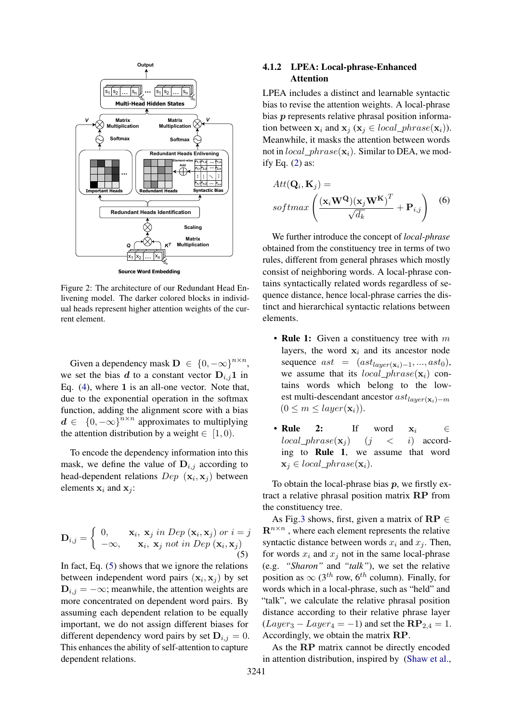<span id="page-3-0"></span>

**Source Word Embedding**

Figure 2: The architecture of our Redundant Head Enlivening model. The darker colored blocks in individual heads represent higher attention weights of the current element.

Given a dependency mask  $\mathbf{D} \in \{0, -\infty\}^{n \times n}$ , we set the bias d to a constant vector  $D_{i,j}1$  in Eq. [\(4\)](#page-2-1), where 1 is an all-one vector. Note that, due to the exponential operation in the softmax function, adding the alignment score with a bias  $d \in \{0, -\infty\}^{n \times n}$  approximates to multiplying the attention distribution by a weight  $\in$  [1, 0).

<span id="page-3-1"></span>To encode the dependency information into this mask, we define the value of  $D_{i,j}$  according to head-dependent relations  $Dep(x_i, x_j)$  between elements  $x_i$  and  $x_j$ :

$$
\mathbf{D}_{i,j} = \begin{cases} 0, & \mathbf{x}_i, \mathbf{x}_j \text{ in } Dep(\mathbf{x}_i, \mathbf{x}_j) \text{ or } i = j \\ -\infty, & \mathbf{x}_i, \mathbf{x}_j \text{ not in } Dep(\mathbf{x}_i, \mathbf{x}_j) \end{cases}
$$
(5)

In fact, Eq. [\(5\)](#page-3-1) shows that we ignore the relations between independent word pairs  $(x_i, x_j)$  by set  $D_{i,j} = -\infty$ ; meanwhile, the attention weights are more concentrated on dependent word pairs. By assuming each dependent relation to be equally important, we do not assign different biases for different dependency word pairs by set  $D_{i,j} = 0$ . This enhances the ability of self-attention to capture dependent relations.

## 4.1.2 LPEA: Local-phrase-Enhanced Attention

LPEA includes a distinct and learnable syntactic bias to revise the attention weights. A local-phrase bias p represents relative phrasal position information between  $\mathbf{x}_i$  and  $\mathbf{x}_j$  ( $\mathbf{x}_i \in local\_phrase(\mathbf{x}_i)$ ). Meanwhile, it masks the attention between words not in  $local\_phrase(\mathbf{x}_i)$ . Similar to DEA, we modify Eq. [\(2\)](#page-2-0) as:

<span id="page-3-2"></span>
$$
Att(\mathbf{Q}_i, \mathbf{K}_j) =\nsoftmax\left(\frac{(\mathbf{x}_i \mathbf{W^Q})(\mathbf{x}_j \mathbf{W^K})^T}{\sqrt{d_k}} + \mathbf{P}_{i,j}\right)
$$
 (6)

We further introduce the concept of *local-phrase* obtained from the constituency tree in terms of two rules, different from general phrases which mostly consist of neighboring words. A local-phrase contains syntactically related words regardless of sequence distance, hence local-phrase carries the distinct and hierarchical syntactic relations between elements.

- Rule 1: Given a constituency tree with  $m$ layers, the word  $x_i$  and its ancestor node sequence  $ast = (ast_{layer(\mathbf{x}_i)-1}, ..., ast_0),$ we assume that its  $local\_phrase(\mathbf{x}_i)$  contains words which belong to the lowest multi-descendant ancestor  $ast_{layer(\mathbf{x}_i)-m}$  $(0 \leq m \leq layer(\mathbf{x}_i)).$
- Rule 2: If word  $x_i \in$  $local\_phrase(\mathbf{x}_i)$   $(j < i)$  according to Rule 1, we assume that word  $\mathbf{x}_i \in local\_phrase(\mathbf{x}_i).$

To obtain the local-phrase bias  $p$ , we firstly extract a relative phrasal position matrix RP from the constituency tree.

As Fig[.3](#page-4-0) shows, first, given a matrix of  $\mathbf{RP} \in \mathbb{R}$  $\mathbf{R}^{n \times n}$ , where each element represents the relative syntactic distance between words  $x_i$  and  $x_j$ . Then, for words  $x_i$  and  $x_j$  not in the same local-phrase (e.g. *"Sharon"* and *"talk"*), we set the relative position as  $\infty$  (3<sup>th</sup> row, 6<sup>th</sup> column). Finally, for words which in a local-phrase, such as "held" and "talk", we calculate the relative phrasal position distance according to their relative phrase layer  $(Layer_3 - Layer_4 = -1)$  and set the  $\mathbb{RP}_{2,4} = 1$ . Accordingly, we obtain the matrix RP.

As the RP matrix cannot be directly encoded in attention distribution, inspired by [\(Shaw et al.,](#page-8-5)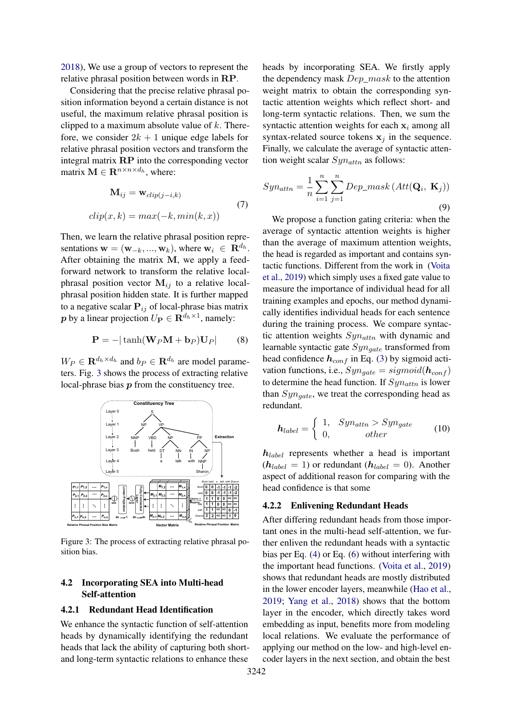[2018\)](#page-8-5), We use a group of vectors to represent the relative phrasal position between words in RP.

Considering that the precise relative phrasal position information beyond a certain distance is not useful, the maximum relative phrasal position is clipped to a maximum absolute value of  $k$ . Therefore, we consider  $2k + 1$  unique edge labels for relative phrasal position vectors and transform the integral matrix RP into the corresponding vector matrix  $\mathbf{M} \in \mathbf{R}^{n \times n \times d_h}$ , where:

$$
\mathbf{M}_{ij} = \mathbf{w}_{clip(j-i,k)} \tag{7}
$$
  

$$
clip(x, k) = max(-k, min(k, x)) \tag{7}
$$

Then, we learn the relative phrasal position representations  $\mathbf{w} = (\mathbf{w}_{-k}, ..., \mathbf{w}_k)$ , where  $\mathbf{w}_i \in \mathbf{R}^{d_h}$ . After obtaining the matrix M, we apply a feedforward network to transform the relative localphrasal position vector  $M_{ij}$  to a relative localphrasal position hidden state. It is further mapped to a negative scalar  $P_{ij}$  of local-phrase bias matrix  $\boldsymbol{p}$  by a linear projection  $U_{\mathbf{P}} \in \mathbf{R}^{d_h \times 1}$ , namely:

$$
\mathbf{P} = -|\tanh(\mathbf{W}_P \mathbf{M} + \mathbf{b}_P)\mathbf{U}_P|
$$
 (8)

 $W_P \in \mathbf{R}^{d_h \times d_h}$  and  $b_P \in \mathbf{R}^{d_h}$  are model parameters. Fig. [3](#page-4-0) shows the process of extracting relative local-phrase bias p from the constituency tree.

<span id="page-4-0"></span>

Figure 3: The process of extracting relative phrasal position bias.

## 4.2 Incorporating SEA into Multi-head Self-attention

## 4.2.1 Redundant Head Identification

We enhance the syntactic function of self-attention heads by dynamically identifying the redundant heads that lack the ability of capturing both shortand long-term syntactic relations to enhance these heads by incorporating SEA. We firstly apply the dependency mask  $Dep\_mask$  to the attention weight matrix to obtain the corresponding syntactic attention weights which reflect short- and long-term syntactic relations. Then, we sum the syntactic attention weights for each  $x_i$  among all syntax-related source tokens  $x_i$  in the sequence. Finally, we calculate the average of syntactic attention weight scalar  $Syn_{attn}$  as follows:

$$
Syn_{attn} = \frac{1}{n} \sum_{i=1}^{n} \sum_{j=1}^{n} Dep\_mask\left(Att(\mathbf{Q}_i, \mathbf{K}_j)\right)
$$
\n(9)

We propose a function gating criteria: when the average of syntactic attention weights is higher than the average of maximum attention weights, the head is regarded as important and contains syntactic functions. Different from the work in [\(Voita](#page-8-8) [et al.,](#page-8-8) [2019\)](#page-8-8) which simply uses a fixed gate value to measure the importance of individual head for all training examples and epochs, our method dynamically identifies individual heads for each sentence during the training process. We compare syntactic attention weights  $Syn_{attn}$  with dynamic and learnable syntactic gate  $Syn_{gate}$  transformed from head confidence  $h_{conf}$  in Eq. [\(3\)](#page-2-2) by sigmoid activation functions, i.e.,  $Syn_{\text{gate}} = sigmoid(\mathbf{h}_{\text{conf}})$ to determine the head function. If  $Syn_{attn}$  is lower than  $Syn_{\text{gate}}$ , we treat the corresponding head as redundant.

$$
\boldsymbol{h}_{label} = \begin{cases} 1, & Sym_{attn} > Sym_{gate} \\ 0, & \text{other} \end{cases} \tag{10}
$$

 $h_{label}$  represents whether a head is important  $(h_{label} = 1)$  or redundant  $(h_{label} = 0)$ . Another aspect of additional reason for comparing with the head confidence is that some

### 4.2.2 Enlivening Redundant Heads

After differing redundant heads from those important ones in the multi-head self-attention, we further enliven the redundant heads with a syntactic bias per Eq. [\(4\)](#page-2-1) or Eq. [\(6\)](#page-3-2) without interfering with the important head functions. [\(Voita et al.,](#page-8-8) [2019\)](#page-8-8) shows that redundant heads are mostly distributed in the lower encoder layers, meanwhile [\(Hao et al.,](#page-8-15) [2019;](#page-8-15) [Yang et al.,](#page-8-4) [2018\)](#page-8-4) shows that the bottom layer in the encoder, which directly takes word embedding as input, benefits more from modeling local relations. We evaluate the performance of applying our method on the low- and high-level encoder layers in the next section, and obtain the best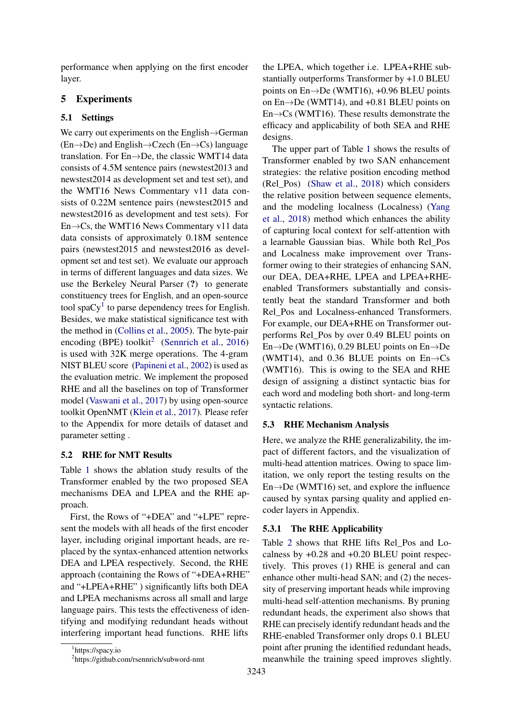performance when applying on the first encoder layer.

## 5 Experiments

## 5.1 Settings

We carry out experiments on the English→German  $(En \rightarrow De)$  and English $\rightarrow C$ zech  $(En \rightarrow Cs)$  language translation. For En→De, the classic WMT14 data consists of 4.5M sentence pairs (newstest2013 and newstest2014 as development set and test set), and the WMT16 News Commentary v11 data consists of 0.22M sentence pairs (newstest2015 and newstest2016 as development and test sets). For En→Cs, the WMT16 News Commentary v11 data data consists of approximately 0.18M sentence pairs (newstest2015 and newstest2016 as development set and test set). We evaluate our approach in terms of different languages and data sizes. We use the Berkeley Neural Parser (?) to generate constituency trees for English, and an open-source tool spa $Cy<sup>1</sup>$  $Cy<sup>1</sup>$  $Cy<sup>1</sup>$  to parse dependency trees for English. Besides, we make statistical significance test with the method in [\(Collins et al.,](#page-8-21) [2005\)](#page-8-21). The byte-pair encoding (BPE) toolkit<sup>[2](#page-5-1)</sup> [\(Sennrich et al.,](#page-8-22) [2016\)](#page-8-22) is used with 32K merge operations. The 4-gram NIST BLEU score [\(Papineni et al.,](#page-8-23) [2002\)](#page-8-23) is used as the evaluation metric. We implement the proposed RHE and all the baselines on top of Transformer model [\(Vaswani et al.,](#page-8-6) [2017\)](#page-8-6) by using open-source toolkit OpenNMT [\(Klein et al.,](#page-8-24) [2017\)](#page-8-24). Please refer to the Appendix for more details of dataset and parameter setting .

## 5.2 RHE for NMT Results

Table [1](#page-6-0) shows the ablation study results of the Transformer enabled by the two proposed SEA mechanisms DEA and LPEA and the RHE approach.

First, the Rows of "+DEA" and "+LPE" represent the models with all heads of the first encoder layer, including original important heads, are replaced by the syntax-enhanced attention networks DEA and LPEA respectively. Second, the RHE approach (containing the Rows of "+DEA+RHE" and "+LPEA+RHE" ) significantly lifts both DEA and LPEA mechanisms across all small and large language pairs. This tests the effectiveness of identifying and modifying redundant heads without interfering important head functions. RHE lifts

The upper part of Table [1](#page-6-0) shows the results of Transformer enabled by two SAN enhancement strategies: the relative position encoding method (Rel\_Pos) [\(Shaw et al.,](#page-8-5) [2018\)](#page-8-5) which considers the relative position between sequence elements, and the modeling localness (Localness) [\(Yang](#page-8-4) [et al.,](#page-8-4) [2018\)](#page-8-4) method which enhances the ability of capturing local context for self-attention with a learnable Gaussian bias. While both Rel\_Pos and Localness make improvement over Transformer owing to their strategies of enhancing SAN, our DEA, DEA+RHE, LPEA and LPEA+RHEenabled Transformers substantially and consistently beat the standard Transformer and both Rel\_Pos and Localness-enhanced Transformers. For example, our DEA+RHE on Transformer outperforms Rel\_Pos by over 0.49 BLEU points on En $\rightarrow$ De (WMT16), 0.29 BLEU points on En $\rightarrow$ De (WMT14), and 0.36 BLUE points on  $En \rightarrow Cs$ (WMT16). This is owing to the SEA and RHE design of assigning a distinct syntactic bias for each word and modeling both short- and long-term syntactic relations.

## 5.3 RHE Mechanism Analysis

Here, we analyze the RHE generalizability, the impact of different factors, and the visualization of multi-head attention matrices. Owing to space limitation, we only report the testing results on the En→De (WMT16) set, and explore the influence caused by syntax parsing quality and applied encoder layers in Appendix.

## 5.3.1 The RHE Applicability

Table [2](#page-6-1) shows that RHE lifts Rel\_Pos and Localness by +0.28 and +0.20 BLEU point respectively. This proves (1) RHE is general and can enhance other multi-head SAN; and (2) the necessity of preserving important heads while improving multi-head self-attention mechanisms. By pruning redundant heads, the experiment also shows that RHE can precisely identify redundant heads and the RHE-enabled Transformer only drops 0.1 BLEU point after pruning the identified redundant heads, meanwhile the training speed improves slightly.

<span id="page-5-0"></span><sup>1</sup> https://spacy.io

<span id="page-5-1"></span><sup>2</sup> https://github.com/rsennrich/subword-nmt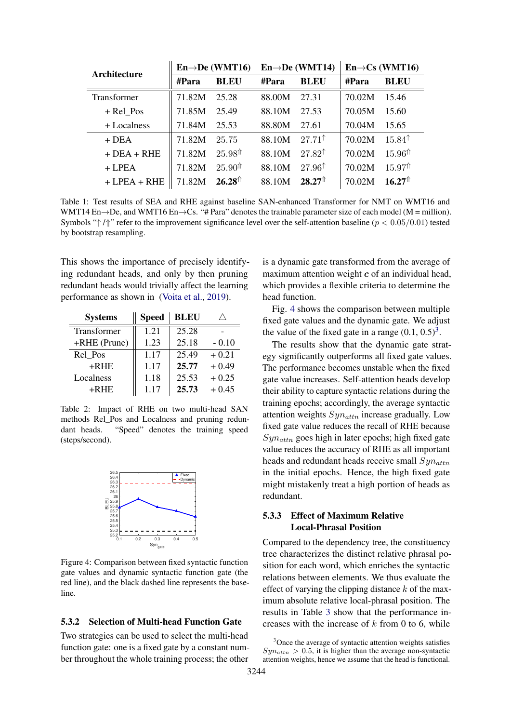<span id="page-6-0"></span>

| Architecture       |        | $En \rightarrow De$ (WMT16)<br>$En \rightarrow De$ (WMT14) |        |                    | $En \rightarrow Cs$ (WMT16) |                     |
|--------------------|--------|------------------------------------------------------------|--------|--------------------|-----------------------------|---------------------|
|                    | #Para  | <b>BLEU</b>                                                | #Para  | <b>BLEU</b>        | #Para                       | <b>BLEU</b>         |
| <b>Transformer</b> | 71.82M | 25.28                                                      | 88.00M | 27.31              | 70.02M                      | 15.46               |
| + Rel Pos          | 71.85M | 25.49                                                      | 88.10M | 27.53              | 70.05M                      | 15.60               |
| + Localness        | 71.84M | 25.53                                                      | 88.80M | 27.61              | 70.04M                      | 15.65               |
| $+$ DEA            | 71.82M | 25.75                                                      | 88.10M | $27.71^{\dagger}$  | 70.02M                      | $15.84^{\text{T}}$  |
| $+$ DEA $+$ RHE    | 71.82M | $25.98^{\text{\text{m}}}$                                  | 88.10M | $27.82^{\dagger}$  | 70.02M                      | $15.96^{\text{+}}$  |
| $+ LPEA$           | 71.82M | $25.90^{\text{\text{m}}}$                                  | 88.10M | $27.96^{\dagger}$  | 70.02M                      | $15.97^{\text{ft}}$ |
| $+$ LPEA $+$ RHE   | 71.82M | $26.28^{\text{p}}$                                         | 88.10M | $28.27^{\text{p}}$ | 70.02M                      | $16.27^{\text{p}}$  |

Table 1: Test results of SEA and RHE against baseline SAN-enhanced Transformer for NMT on WMT16 and WMT14 En→De, and WMT16 En→Cs. "# Para" denotes the trainable parameter size of each model (M = million). Symbols " $\uparrow$  / $\uparrow$ " refer to the improvement significance level over the self-attention baseline ( $p < 0.05/0.01$ ) tested by bootstrap resampling.

This shows the importance of precisely identifying redundant heads, and only by then pruning redundant heads would trivially affect the learning performance as shown in [\(Voita et al.,](#page-8-8) [2019\)](#page-8-8).

<span id="page-6-1"></span>

| <b>Systems</b> | <b>Speed</b> | <b>BLEU</b> |         |
|----------------|--------------|-------------|---------|
| Transformer    | 1.21         | 25.28       |         |
| +RHE (Prune)   | 1.23         | 25.18       | $-0.10$ |
| Rel Pos        | 1.17         | 25.49       | $+0.21$ |
| $+RHE$         | 1.17         | 25.77       | $+0.49$ |
| Localness      | 1.18         | 25.53       | $+0.25$ |
| $+RHE$         | 1.17         | 25.73       | $+0.45$ |

Table 2: Impact of RHE on two multi-head SAN methods Rel\_Pos and Localness and pruning redundant heads. "Speed" denotes the training speed (steps/second).

<span id="page-6-2"></span>

Figure 4: Comparison between fixed syntactic function gate values and dynamic syntactic function gate (the red line), and the black dashed line represents the baseline.

### 5.3.2 Selection of Multi-head Function Gate

Two strategies can be used to select the multi-head function gate: one is a fixed gate by a constant number throughout the whole training process; the other

is a dynamic gate transformed from the average of maximum attention weight  $c$  of an individual head, which provides a flexible criteria to determine the head function.

Fig. [4](#page-6-2) shows the comparison between multiple fixed gate values and the dynamic gate. We adjust the value of the fixed gate in a range  $(0.1, 0.5)^3$  $(0.1, 0.5)^3$ .

The results show that the dynamic gate strategy significantly outperforms all fixed gate values. The performance becomes unstable when the fixed gate value increases. Self-attention heads develop their ability to capture syntactic relations during the training epochs; accordingly, the average syntactic attention weights  $Syn_{attn}$  increase gradually. Low fixed gate value reduces the recall of RHE because  $Syn_{attn}$  goes high in later epochs; high fixed gate value reduces the accuracy of RHE as all important heads and redundant heads receive small  $Syn_{attn}$ in the initial epochs. Hence, the high fixed gate might mistakenly treat a high portion of heads as redundant.

## 5.3.3 Effect of Maximum Relative Local-Phrasal Position

Compared to the dependency tree, the constituency tree characterizes the distinct relative phrasal position for each word, which enriches the syntactic relations between elements. We thus evaluate the effect of varying the clipping distance  $k$  of the maximum absolute relative local-phrasal position. The results in Table [3](#page-7-0) show that the performance increases with the increase of  $k$  from 0 to 6, while

<span id="page-6-3"></span><sup>&</sup>lt;sup>3</sup>Once the average of syntactic attention weights satisfies  $Syn_{attn} > 0.5$ , it is higher than the average non-syntactic attention weights, hence we assume that the head is functional.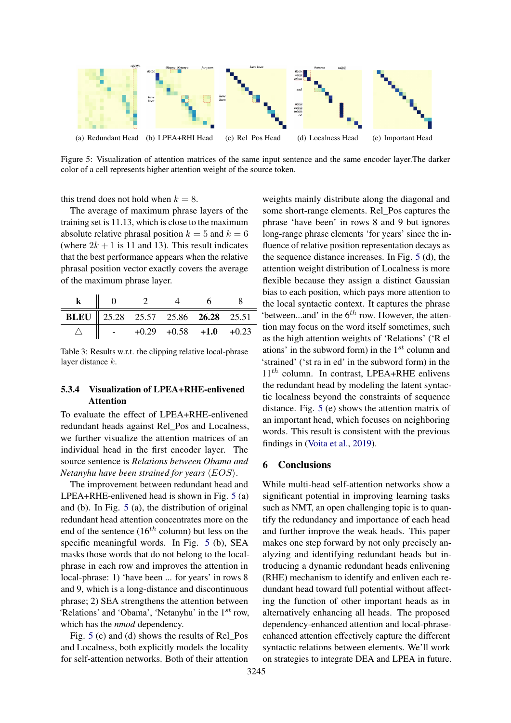<span id="page-7-1"></span>

Figure 5: Visualization of attention matrices of the same input sentence and the same encoder layer.The darker color of a cell represents higher attention weight of the source token.

this trend does not hold when  $k = 8$ .

The average of maximum phrase layers of the training set is 11.13, which is close to the maximum absolute relative phrasal position  $k = 5$  and  $k = 6$ (where  $2k + 1$  is 11 and 13). This result indicates that the best performance appears when the relative phrasal position vector exactly covers the average of the maximum phrase layer.

<span id="page-7-0"></span>

| <b>BLEU</b>   25.28 25.57 25.86 <b>26.28</b> 25.51 |  |                                |  |
|----------------------------------------------------|--|--------------------------------|--|
|                                                    |  | $+0.29$ $+0.58$ $+1.0$ $+0.23$ |  |

Table 3: Results w.r.t. the clipping relative local-phrase layer distance k.

## 5.3.4 Visualization of LPEA+RHE-enlivened Attention

To evaluate the effect of LPEA+RHE-enlivened redundant heads against Rel\_Pos and Localness, we further visualize the attention matrices of an individual head in the first encoder layer. The source sentence is *Relations between Obama and Netanyhu have been strained for years*  $\langle EOS \rangle$ .

The improvement between redundant head and LPEA+RHE-enlivened head is shown in Fig. [5](#page-7-1) (a) and (b). In Fig. [5](#page-7-1) (a), the distribution of original redundant head attention concentrates more on the end of the sentence  $(16^{th}$  column) but less on the specific meaningful words. In Fig. [5](#page-7-1) (b), SEA masks those words that do not belong to the localphrase in each row and improves the attention in local-phrase: 1) 'have been ... for years' in rows 8 and 9, which is a long-distance and discontinuous phrase; 2) SEA strengthens the attention between 'Relations' and 'Obama', 'Netanyhu' in the  $1^{st}$  row, which has the *nmod* dependency.

Fig. [5](#page-7-1) (c) and (d) shows the results of Rel\_Pos and Localness, both explicitly models the locality for self-attention networks. Both of their attention weights mainly distribute along the diagonal and some short-range elements. Rel\_Pos captures the phrase 'have been' in rows 8 and 9 but ignores long-range phrase elements 'for years' since the influence of relative position representation decays as the sequence distance increases. In Fig. [5](#page-7-1) (d), the attention weight distribution of Localness is more flexible because they assign a distinct Gaussian bias to each position, which pays more attention to the local syntactic context. It captures the phrase 'between...and' in the  $6^{th}$  row. However, the attention may focus on the word itself sometimes, such as the high attention weights of 'Relations' ('R el ations' in the subword form) in the  $1^{st}$  column and 'strained' ('st ra in ed' in the subword form) in the  $11^{th}$  column. In contrast, LPEA+RHE enlivens the redundant head by modeling the latent syntactic localness beyond the constraints of sequence distance. Fig. [5](#page-7-1) (e) shows the attention matrix of an important head, which focuses on neighboring words. This result is consistent with the previous findings in [\(Voita et al.,](#page-8-8) [2019\)](#page-8-8).

## 6 Conclusions

While multi-head self-attention networks show a significant potential in improving learning tasks such as NMT, an open challenging topic is to quantify the redundancy and importance of each head and further improve the weak heads. This paper makes one step forward by not only precisely analyzing and identifying redundant heads but introducing a dynamic redundant heads enlivening (RHE) mechanism to identify and enliven each redundant head toward full potential without affecting the function of other important heads as in alternatively enhancing all heads. The proposed dependency-enhanced attention and local-phraseenhanced attention effectively capture the different syntactic relations between elements. We'll work on strategies to integrate DEA and LPEA in future.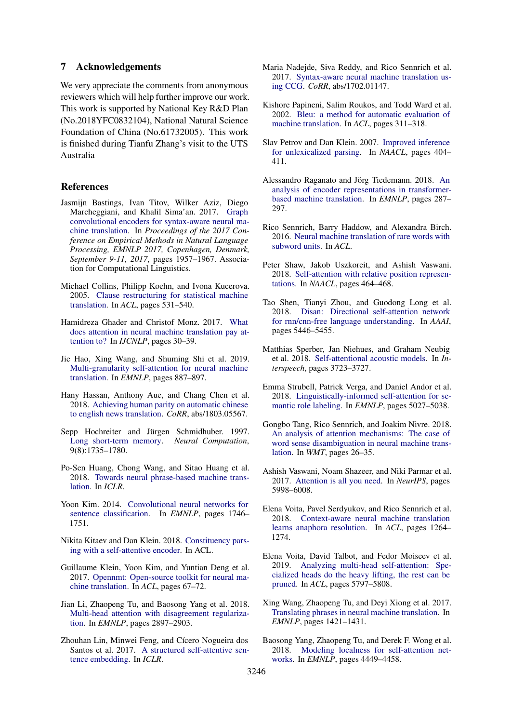### 7 Acknowledgements

We very appreciate the comments from anonymous reviewers which will help further improve our work. This work is supported by National Key R&D Plan (No.2018YFC0832104), National Natural Science Foundation of China (No.61732005). This work is finished during Tianfu Zhang's visit to the UTS Australia

### References

- <span id="page-8-10"></span>Jasmijn Bastings, Ivan Titov, Wilker Aziz, Diego Marcheggiani, and Khalil Sima'an. 2017. [Graph](https://doi.org/10.18653/v1/d17-1209) [convolutional encoders for syntax-aware neural ma](https://doi.org/10.18653/v1/d17-1209)[chine translation.](https://doi.org/10.18653/v1/d17-1209) In *Proceedings of the 2017 Conference on Empirical Methods in Natural Language Processing, EMNLP 2017, Copenhagen, Denmark, September 9-11, 2017*, pages 1957–1967. Association for Computational Linguistics.
- <span id="page-8-21"></span>Michael Collins, Philipp Koehn, and Ivona Kucerova. 2005. [Clause restructuring for statistical machine](https://www.aclweb.org/anthology/P05-1066/) [translation.](https://www.aclweb.org/anthology/P05-1066/) In *ACL*, pages 531–540.
- <span id="page-8-16"></span>Hamidreza Ghader and Christof Monz. 2017. [What](https://aclanthology.info/papers/I17-1004/i17-1004) [does attention in neural machine translation pay at](https://aclanthology.info/papers/I17-1004/i17-1004)[tention to?](https://aclanthology.info/papers/I17-1004/i17-1004) In *IJCNLP*, pages 30–39.
- <span id="page-8-15"></span>Jie Hao, Xing Wang, and Shuming Shi et al. 2019. [Multi-granularity self-attention for neural machine](https://doi.org/10.18653/v1/D19-1082) [translation.](https://doi.org/10.18653/v1/D19-1082) In *EMNLP*, pages 887–897.
- <span id="page-8-7"></span>Hany Hassan, Anthony Aue, and Chang Chen et al. 2018. [Achieving human parity on automatic chinese](http://arxiv.org/abs/1803.05567) [to english news translation.](http://arxiv.org/abs/1803.05567) *CoRR*, abs/1803.05567.
- <span id="page-8-1"></span>Sepp Hochreiter and Jürgen Schmidhuber. 1997. [Long short-term memory.](https://doi.org/10.1162/neco.1997.9.8.1735) *Neural Computation*, 9(8):1735–1780.
- <span id="page-8-13"></span>Po-Sen Huang, Chong Wang, and Sitao Huang et al. 2018. [Towards neural phrase-based machine trans](https://openreview.net/forum?id=HktJec1RZ)[lation.](https://openreview.net/forum?id=HktJec1RZ) In *ICLR*.
- <span id="page-8-2"></span>Yoon Kim. 2014. [Convolutional neural networks for](http://aclweb.org/anthology/D/D14/D14-1181.pdf) [sentence classification.](http://aclweb.org/anthology/D/D14/D14-1181.pdf) In *EMNLP*, pages 1746– 1751.
- <span id="page-8-26"></span>Nikita Kitaev and Dan Klein. 2018. [Constituency pars](https://doi.org/10.18653/v1/P18-1249)[ing with a self-attentive encoder.](https://doi.org/10.18653/v1/P18-1249) In ACL.
- <span id="page-8-24"></span>Guillaume Klein, Yoon Kim, and Yuntian Deng et al. 2017. [Opennmt: Open-source toolkit for neural ma](https://doi.org/10.18653/v1/P17-4012)[chine translation.](https://doi.org/10.18653/v1/P17-4012) In *ACL*, pages 67–72.
- <span id="page-8-20"></span>Jian Li, Zhaopeng Tu, and Baosong Yang et al. 2018. [Multi-head attention with disagreement regulariza](https://aclanthology.info/papers/D18-1317/d18-1317)[tion.](https://aclanthology.info/papers/D18-1317/d18-1317) In *EMNLP*, pages 2897–2903.
- <span id="page-8-0"></span>Zhouhan Lin, Minwei Feng, and Cícero Nogueira dos Santos et al. 2017. [A structured self-attentive sen](https://openreview.net/forum?id=BJC_jUqxe)[tence embedding.](https://openreview.net/forum?id=BJC_jUqxe) In *ICLR*.
- <span id="page-8-11"></span>Maria Nadejde, Siva Reddy, and Rico Sennrich et al. 2017. [Syntax-aware neural machine translation us](http://arxiv.org/abs/1702.01147)[ing CCG.](http://arxiv.org/abs/1702.01147) *CoRR*, abs/1702.01147.
- <span id="page-8-23"></span>Kishore Papineni, Salim Roukos, and Todd Ward et al. 2002. [Bleu: a method for automatic evaluation of](http://www.aclweb.org/anthology/P02-1040.pdf) [machine translation.](http://www.aclweb.org/anthology/P02-1040.pdf) In *ACL*, pages 311–318.
- <span id="page-8-25"></span>Slav Petrov and Dan Klein. 2007. [Improved inference](http://www.aclweb.org/anthology/N07-1051) [for unlexicalized parsing.](http://www.aclweb.org/anthology/N07-1051) In *NAACL*, pages 404– 411.
- <span id="page-8-19"></span>Alessandro Raganato and Jörg Tiedemann. 2018. [An](https://aclanthology.info/papers/W18-5431/w18-5431) [analysis of encoder representations in transformer](https://aclanthology.info/papers/W18-5431/w18-5431)[based machine translation.](https://aclanthology.info/papers/W18-5431/w18-5431) In *EMNLP*, pages 287– 297.
- <span id="page-8-22"></span>Rico Sennrich, Barry Haddow, and Alexandra Birch. 2016. [Neural machine translation of rare words with](https://www.aclweb.org/anthology/P16-1162/) [subword units.](https://www.aclweb.org/anthology/P16-1162/) In *ACL*.
- <span id="page-8-5"></span>Peter Shaw, Jakob Uszkoreit, and Ashish Vaswani. 2018. [Self-attention with relative position represen](https://aclanthology.info/papers/N18-2074/n18-2074)[tations.](https://aclanthology.info/papers/N18-2074/n18-2074) In *NAACL*, pages 464–468.
- <span id="page-8-3"></span>Tao Shen, Tianyi Zhou, and Guodong Long et al. 2018. [Disan: Directional self-attention network](https://www.aaai.org/ocs/index.php/AAAI/AAAI18/paper/view/16126) [for rnn/cnn-free language understanding.](https://www.aaai.org/ocs/index.php/AAAI/AAAI18/paper/view/16126) In *AAAI*, pages 5446–5455.
- <span id="page-8-9"></span>Matthias Sperber, Jan Niehues, and Graham Neubig et al. 2018. [Self-attentional acoustic models.](https://doi.org/10.21437/Interspeech.2018-1910) In *Interspeech*, pages 3723–3727.
- <span id="page-8-14"></span>Emma Strubell, Patrick Verga, and Daniel Andor et al. 2018. [Linguistically-informed self-attention for se](https://www.aclweb.org/anthology/D18-1548/)[mantic role labeling.](https://www.aclweb.org/anthology/D18-1548/) In *EMNLP*, pages 5027–5038.
- <span id="page-8-18"></span>Gongbo Tang, Rico Sennrich, and Joakim Nivre. 2018. [An analysis of attention mechanisms: The case of](https://aclanthology.info/papers/W18-6304/w18-6304) [word sense disambiguation in neural machine trans](https://aclanthology.info/papers/W18-6304/w18-6304)[lation.](https://aclanthology.info/papers/W18-6304/w18-6304) In *WMT*, pages 26–35.
- <span id="page-8-6"></span>Ashish Vaswani, Noam Shazeer, and Niki Parmar et al. 2017. [Attention is all you need.](http://papers.nips.cc/paper/7181-attention-is-all-you-need) In *NeurIPS*, pages 5998–6008.
- <span id="page-8-17"></span>Elena Voita, Pavel Serdyukov, and Rico Sennrich et al. 2018. [Context-aware neural machine translation](https://doi.org/10.18653/v1/P18-1117) [learns anaphora resolution.](https://doi.org/10.18653/v1/P18-1117) In *ACL*, pages 1264– 1274.
- <span id="page-8-8"></span>Elena Voita, David Talbot, and Fedor Moiseev et al. 2019. [Analyzing multi-head self-attention: Spe](https://www.aclweb.org/anthology/P19-1580/)[cialized heads do the heavy lifting, the rest can be](https://www.aclweb.org/anthology/P19-1580/) [pruned.](https://www.aclweb.org/anthology/P19-1580/) In *ACL*, pages 5797–5808.
- <span id="page-8-12"></span>Xing Wang, Zhaopeng Tu, and Deyi Xiong et al. 2017. [Translating phrases in neural machine translation.](https://aclanthology.info/papers/D17-1149/d17-1149) In *EMNLP*, pages 1421–1431.
- <span id="page-8-4"></span>Baosong Yang, Zhaopeng Tu, and Derek F. Wong et al. 2018. [Modeling localness for self-attention net](https://aclanthology.info/papers/D18-1475/d18-1475)[works.](https://aclanthology.info/papers/D18-1475/d18-1475) In *EMNLP*, pages 4449–4458.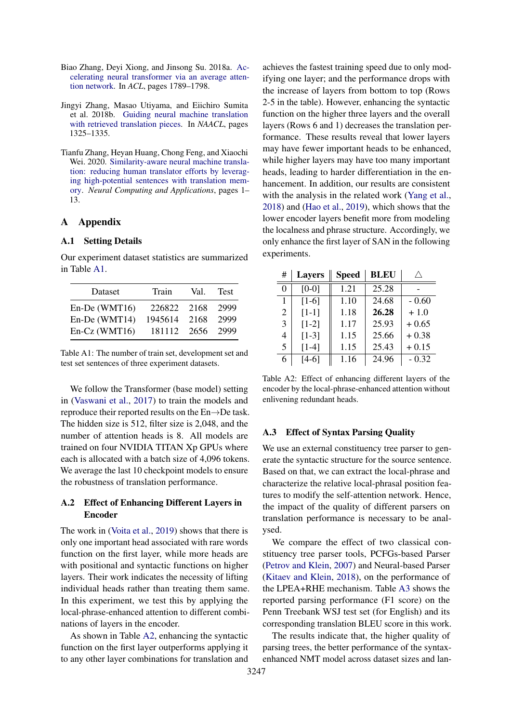- <span id="page-9-0"></span>Biao Zhang, Deyi Xiong, and Jinsong Su. 2018a. [Ac](https://doi.org/10.18653/v1/P18-1166)[celerating neural transformer via an average atten](https://doi.org/10.18653/v1/P18-1166)[tion network.](https://doi.org/10.18653/v1/P18-1166) In *ACL*, pages 1789–1798.
- <span id="page-9-1"></span>Jingyi Zhang, Masao Utiyama, and Eiichiro Sumita et al. 2018b. [Guiding neural machine translation](https://aclanthology.info/papers/N18-1120/n18-1120) [with retrieved translation pieces.](https://aclanthology.info/papers/N18-1120/n18-1120) In *NAACL*, pages 1325–1335.
- <span id="page-9-2"></span>Tianfu Zhang, Heyan Huang, Chong Feng, and Xiaochi Wei. 2020. [Similarity-aware neural machine transla](https://link.springer.com/content/pdf/10.1007/s00521-020-04939-y.pdf)[tion: reducing human translator efforts by leverag](https://link.springer.com/content/pdf/10.1007/s00521-020-04939-y.pdf)[ing high-potential sentences with translation mem](https://link.springer.com/content/pdf/10.1007/s00521-020-04939-y.pdf)[ory.](https://link.springer.com/content/pdf/10.1007/s00521-020-04939-y.pdf) *Neural Computing and Applications*, pages 1– 13.

## A Appendix

### A.1 Setting Details

Our experiment dataset statistics are summarized in Table [A1.](#page-9-3)

<span id="page-9-3"></span>

| Dataset       | Train   | Val.  | <b>Test</b> |
|---------------|---------|-------|-------------|
| En-De (WMT16) | 226822  | 2168  | 2999        |
| En-De (WMT14) | 1945614 | 2168  | 2999        |
| En-Cz (WMT16) | 181112  | -2656 | 2999        |

Table A1: The number of train set, development set and test set sentences of three experiment datasets.

We follow the Transformer (base model) setting in [\(Vaswani et al.,](#page-8-6) [2017\)](#page-8-6) to train the models and reproduce their reported results on the En→De task. The hidden size is 512, filter size is 2,048, and the number of attention heads is 8. All models are trained on four NVIDIA TITAN Xp GPUs where each is allocated with a batch size of 4,096 tokens. We average the last 10 checkpoint models to ensure the robustness of translation performance.

## A.2 Effect of Enhancing Different Layers in Encoder

The work in [\(Voita et al.,](#page-8-8) [2019\)](#page-8-8) shows that there is only one important head associated with rare words function on the first layer, while more heads are with positional and syntactic functions on higher layers. Their work indicates the necessity of lifting individual heads rather than treating them same. In this experiment, we test this by applying the local-phrase-enhanced attention to different combinations of layers in the encoder.

As shown in Table [A2,](#page-9-4) enhancing the syntactic function on the first layer outperforms applying it to any other layer combinations for translation and achieves the fastest training speed due to only modifying one layer; and the performance drops with the increase of layers from bottom to top (Rows 2-5 in the table). However, enhancing the syntactic function on the higher three layers and the overall layers (Rows 6 and 1) decreases the translation performance. These results reveal that lower layers may have fewer important heads to be enhanced, while higher layers may have too many important heads, leading to harder differentiation in the enhancement. In addition, our results are consistent with the analysis in the related work [\(Yang et al.,](#page-8-4) [2018\)](#page-8-4) and [\(Hao et al.,](#page-8-15) [2019\)](#page-8-15), which shows that the lower encoder layers benefit more from modeling the localness and phrase structure. Accordingly, we only enhance the first layer of SAN in the following experiments.

<span id="page-9-4"></span>

| #        | <b>Layers</b> | <b>Speed</b> | <b>BLEU</b> |         |
|----------|---------------|--------------|-------------|---------|
| $\theta$ | $[0-0]$       | 1.21         | 25.28       |         |
| 1        | $[1-6]$       | 1.10         | 24.68       | $-0.60$ |
| 2        | $[1-1]$       | 1.18         | 26.28       | $+1.0$  |
| 3        | $[1-2]$       | 1.17         | 25.93       | $+0.65$ |
| 4        | $[1-3]$       | 1.15         | 25.66       | $+0.38$ |
| 5        | $[1-4]$       | 1.15         | 25.43       | $+0.15$ |
| 6        | $[4-6]$       | 1.16         | 24.96       | $-0.32$ |

Table A2: Effect of enhancing different layers of the encoder by the local-phrase-enhanced attention without enlivening redundant heads.

### A.3 Effect of Syntax Parsing Quality

We use an external constituency tree parser to generate the syntactic structure for the source sentence. Based on that, we can extract the local-phrase and characterize the relative local-phrasal position features to modify the self-attention network. Hence, the impact of the quality of different parsers on translation performance is necessary to be analysed.

We compare the effect of two classical constituency tree parser tools, PCFGs-based Parser [\(Petrov and Klein,](#page-8-25) [2007\)](#page-8-25) and Neural-based Parser [\(Kitaev and Klein,](#page-8-26) [2018\)](#page-8-26), on the performance of the LPEA+RHE mechanism. Table [A3](#page-10-0) shows the reported parsing performance (F1 score) on the Penn Treebank WSJ test set (for English) and its corresponding translation BLEU score in this work.

The results indicate that, the higher quality of parsing trees, the better performance of the syntaxenhanced NMT model across dataset sizes and lan